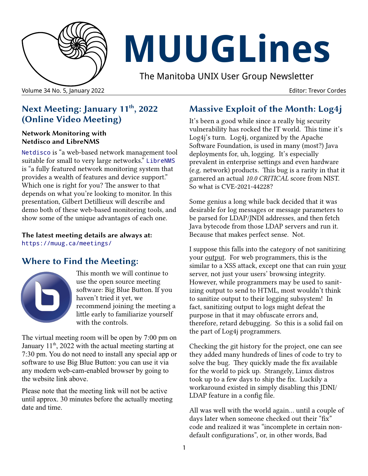

# **MUUGLines**

The Manitoba UNIX User Group Newsletter

Volume 34 No. 5, January 2022 Editor: Trevor Cordes

#### **Next Meeting: January 11th, 2022 (Online Video Meeting)**

#### **Network Monitoring with Netdisco and LibreNMS**

[Netdisco](http://netdisco.org/) is "a web-based network management tool suitable for small to very large networks." [LibreNMS](https://www.librenms.org/) is "a fully featured network monitoring system that provides a wealth of features and device support." Which one is right for you? The answer to that depends on what you're looking to monitor. In this presentation, Gilbert Detillieux will describe and demo both of these web-based monitoring tools, and show some of the unique advantages of each one.

#### **The latest meeting details are always at:** <https://muug.ca/meetings/>

## **Where to Find the Meeting:**



This month we will continue to use the open source meeting software: Big Blue Button. If you haven't tried it yet, we recommend joining the meeting a little early to familiarize yourself with the controls.

The virtual meeting room will be open by 7:00 pm on January  $11<sup>th</sup>$ , 2022 with the actual meeting starting at 7:30 pm. You do not need to install any special app or software to use Big Blue Button: you can use it via any modern web-cam-enabled browser by going to the website link above.

Please note that the meeting link will not be active until approx. 30 minutes before the actually meeting date and time.

## **Massive Exploit of the Month: Log4j**

It's been a good while since a really big security vulnerability has rocked the IT world. This time it's Log4j's turn. Log4j, organized by the Apache Software Foundation, is used in many (most?) Java deployments for, uh, logging. It's especially prevalent in enterprise settings and even hardware (e.g. network) products. This bug is a rarity in that it garnered an actual *10.0 CRITICAL* score from NIST. So what is CVE-2021-44228?

Some genius a long while back decided that it was desirable for log messages or message parameters to be parsed for LDAP/JNDI addresses, and then fetch Java bytecode from those LDAP servers and run it. Because that makes perfect sense. Not.

I suppose this falls into the category of not sanitizing your <u>output</u>. For web programmers, this is the similar to a XSS attack, except one that can ruin your server, not just your users' browsing integrity. However, while programmers may be used to sanitizing output to send to HTML, most wouldn't think to sanitize output to their logging subsystem! In fact, sanitizing output to logs might defeat the purpose in that it may obfuscate errors and, therefore, retard debugging. So this is a solid fail on the part of Log4j programmers.

Checking the git history for the project, one can see they added many hundreds of lines of code to try to solve the bug. They quickly made the fix available for the world to pick up. Strangely, Linux distros took up to a few days to ship the fix. Luckily a workaround existed in simply disabling this JDNI/ LDAP feature in a config file.

All was well with the world again... until a couple of days later when someone checked out their "fix" code and realized it was "incomplete in certain nondefault configurations", or, in other words, Bad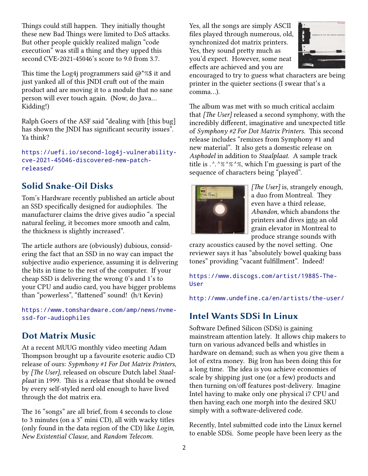Things could still happen. They initially thought these new Bad Things were limited to DoS attacks. But other people quickly realized malign "code execution" was still a thing and they upped this second CVE-2021-45046's score to 9.0 from 3.7.

This time the Log4j programmers said  $\omega$ <sup>\*</sup>%\$ it and just yanked all of this JNDI cruft out of the main product and are moving it to a module that no sane person will ever touch again. (Now, do Java… Kidding!)

Ralph Goers of the ASF said "dealing with [this bug] has shown the JNDI has significant security issues". Ya think?

[https://uefi.io/second-log4j-vulnerability](https://uefi.io/second-log4j-vulnerability-cve-2021-45046-discovered-new-patch-released/)[cve-2021-45046-discovered-new-patch](https://uefi.io/second-log4j-vulnerability-cve-2021-45046-discovered-new-patch-released/)[released/](https://uefi.io/second-log4j-vulnerability-cve-2021-45046-discovered-new-patch-released/)

## **Solid Snake-Oil Disks**

Tom's Hardware recently published an article about an SSD specifically designed for audiophiles. The manufacturer claims the drive gives audio "a special natural feeling, it becomes more smooth and calm, the thickness is slightly increased".

The article authors are (obviously) dubious, considering the fact that an SSD in no way can impact the subjective audio experience, assuming it is delivering the bits in time to the rest of the computer. If your cheap SSD is delivering the wrong 0's and 1's to your CPU and audio card, you have bigger problems than "powerless", "flattened" sound! (h/t Kevin)

[https://www.tomshardware.com/amp/news/nvme](https://www.tomshardware.com/amp/news/nvme-ssd-for-audiophiles)[ssd-for-audiophiles](https://www.tomshardware.com/amp/news/nvme-ssd-for-audiophiles)

#### **Dot Matrix Music**

At a recent MUUG monthly video meeting Adam Thompson brought up a favourite esoteric audio CD release of ours: *Sypmhony #1 For Dot Matrix Printers*, by *[The User]*, released on obscure Dutch label *Staalplaat* in 1999. This is a release that should be owned by every self-styled nerd old enough to have lived through the dot matrix era.

The 16 "songs" are all brief, from 4 seconds to close to 3 minutes (on a 3" mini CD), all with wacky titles (only found in the data region of the CD) like *Login*, *New Existential Clause*, and *Random Telecom*.

Yes, all the songs are simply ASCII files played through numerous, old, synchronized dot matrix printers. Yes, they sound pretty much as you'd expect. However, some neat effects are achieved and you are



encouraged to try to guess what characters are being printer in the quieter sections (I swear that's a comma…).

The album was met with so much critical acclaim that *[The User]* released a second symphony, with the incredibly different, imaginative and unexpected title of *Symphony #2 For Dot Matrix Printers*. This second release includes "remixes from Symphony #1 and new material". It also gets a domestic release on *Asphodel* in addition to *Staalplaat*. A sample track title is *.^.^%^%^%*, which I'm guessing is part of the sequence of characters being "played".



*[The User]* is, strangely enough, a duo from Montreal. They even have a third release, *Abandon*, which abandons the printers and dives into an old grain elevator in Montreal to produce strange sounds with

crazy acoustics caused by the novel setting. One reviewer says it has "absolutely bowel quaking bass tones" providing "vacant fulfillment". Indeed!

[https://www.discogs.com/artist/19885-The-](https://www.discogs.com/artist/19885-The-User)[User](https://www.discogs.com/artist/19885-The-User)

<http://www.undefine.ca/en/artists/the-user/>

#### **Intel Wants SDSi In Linux**

Software Defined Silicon (SDSi) is gaining mainstream attention lately. It allows chip makers to turn on various advanced bells and whistles in hardware on demand; such as when you give them a lot of extra money. Big Iron has been doing this for a long time. The idea is you achieve economies of scale by shipping just one (or a few) products and then turning on/off features post-delivery. Imagine Intel having to make only one physical i7 CPU and then having each one morph into the desired SKU simply with a software-delivered code.

Recently, Intel submitted code into the Linux kernel to enable SDSi. Some people have been leery as the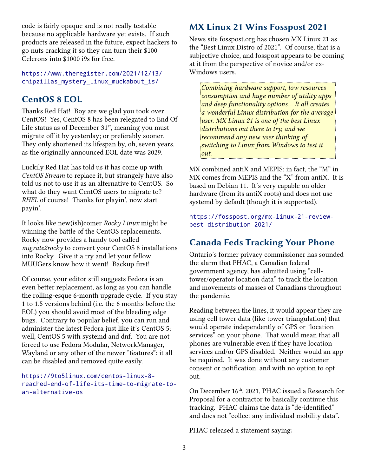code is fairly opaque and is not really testable because no applicable hardware yet exists. If such products are released in the future, expect hackers to go nuts cracking it so they can turn their \$100 Celerons into \$1000 i9s for free.

[https://www.theregister.com/2021/12/13/](https://www.theregister.com/2021/12/13/chipzillas_mystery_linux_muckabout_is/) [chipzillas\\_mystery\\_linux\\_muckabout\\_is/](https://www.theregister.com/2021/12/13/chipzillas_mystery_linux_muckabout_is/)

#### **CentOS 8 EOL**

Thanks Red Hat! Boy are we glad you took over CentOS! Yes, CentOS 8 has been relegated to End Of Life status as of December  $31<sup>st</sup>$ , meaning you must migrate off it by yesterday; or preferably sooner. They only shortened its lifespan by, oh, seven years, as the originally announced EOL date was 2029.

Luckily Red Hat has told us it has come up with *CentOS Stream* to replace it, but strangely have also told us not to use it as an alternative to CentOS. So what do they want CentOS users to migrate to? *RHEL* of course! Thanks for playin', now start payin'.

It looks like new(ish)comer *Rocky Linux* might be winning the battle of the CentOS replacements. Rocky now provides a handy tool called *migrate2rocky* to convert your CentOS 8 installations into Rocky. Give it a try and let your fellow MUUGers know how it went! Backup first!

Of course, your editor still suggests Fedora is an even better replacement, as long as you can handle the rolling-esque 6-month upgrade cycle. If you stay 1 to 1.5 versions behind (i.e. the 6 months before the EOL) you should avoid most of the bleeding edge bugs. Contrary to popular belief, you can run and administer the latest Fedora just like it's CentOS 5; well, CentOS 5 with systemd and dnf. You are not forced to use Fedora Modular, NetworkManager, Wayland or any other of the newer "features": it all can be disabled and removed quite easily.

#### [https://9to5linux.com/centos-linux-8](https://9to5linux.com/centos-linux-8-reached-end-of-life-its-time-to-migrate-to-an-alternative-os) [reached-end-of-life-its-time-to-migrate-to](https://9to5linux.com/centos-linux-8-reached-end-of-life-its-time-to-migrate-to-an-alternative-os)[an-alternative-os](https://9to5linux.com/centos-linux-8-reached-end-of-life-its-time-to-migrate-to-an-alternative-os)

#### **MX Linux 21 Wins Fosspost 2021**

News site fosspost.org has chosen MX Linux 21 as the "Best Linux Distro of 2021". Of course, that is a subjective choice, and fosspost appears to be coming at it from the perspective of novice and/or ex-Windows users.

*Combining hardware support, low resources consumption and huge number of utility apps and deep functionality options… It all creates a wonderful Linux distribution for the average user. MX Linux 21 is one of the best Linux distributions out there to try, and we recommend any new user thinking of switching to Linux from Windows to test it out.*

MX combined antiX and MEPIS; in fact, the "M" in MX comes from MEPIS and the "X" from antiX. It is based on Debian 11. It's very capable on older hardware (from its antiX roots) and does not use systemd by default (though it is supported).

[https://fosspost.org/mx-linux-21-review](https://fosspost.org/mx-linux-21-review-best-distribution-2021/)[best-distribution-2021/](https://fosspost.org/mx-linux-21-review-best-distribution-2021/)

#### **Canada Feds Tracking Your Phone**

Ontario's former privacy commissioner has sounded the alarm that PHAC, a Canadian federal government agency, has admitted using "celltower/operator location data" to track the location and movements of masses of Canadians throughout the pandemic.

Reading between the lines, it would appear they are using cell tower data (like tower triangulation) that would operate independently of GPS or "location services" on your phone. That would mean that all phones are vulnerable even if they have location services and/or GPS disabled. Neither would an app be required. It was done without any customer consent or notification, and with no option to opt out.

On December 16<sup>th</sup>, 2021, PHAC issued a Research for Proposal for a contractor to basically continue this tracking. PHAC claims the data is "de-identified" and does not "collect any individual mobility data".

PHAC released a statement saying: